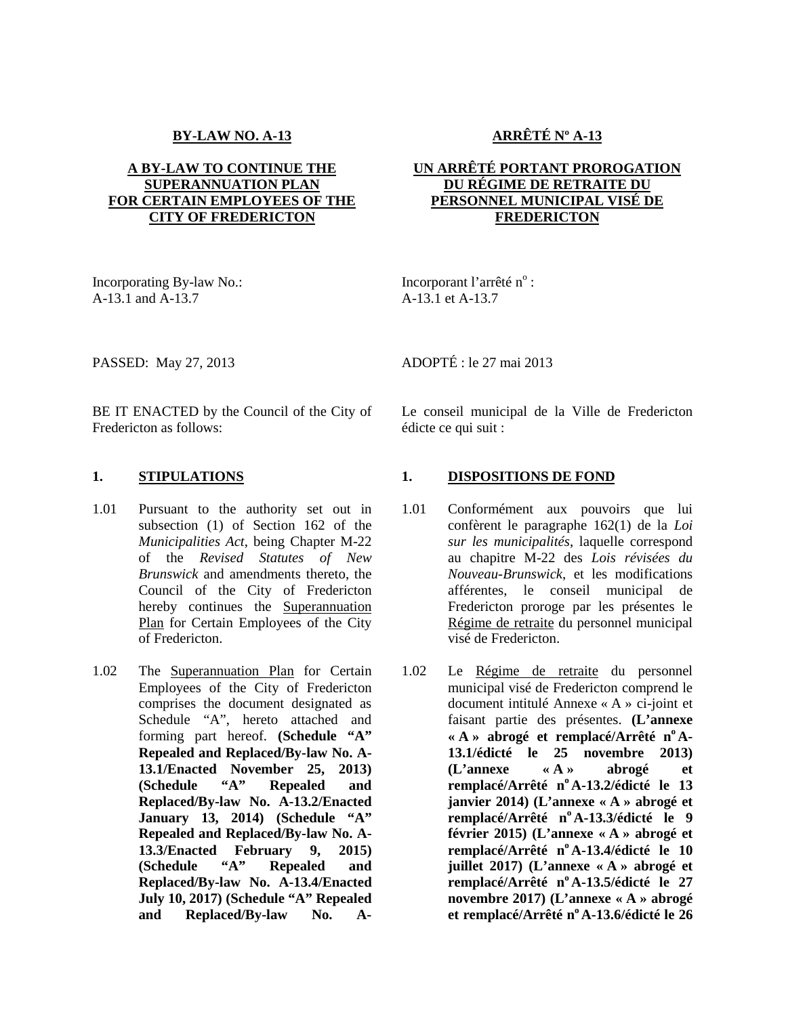#### **BY-LAW NO. A-13**

# **A BY-LAW TO CONTINUE THE SUPERANNUATION PLAN FOR CERTAIN EMPLOYEES OF THE CITY OF FREDERICTON**

Incorporating By-law No.: A-13.1 and A-13.7

**ARRÊTÉ Nº A-13**

# **UN ARRÊTÉ PORTANT PROROGATION DU RÉGIME DE RETRAITE DU PERSONNEL MUNICIPAL VISÉ DE FREDERICTON**

Incorporant l'arrêté n° : A-13.1 et A-13.7

ADOPTÉ : le 27 mai 2013

PASSED: May 27, 2013

BE IT ENACTED by the Council of the City of Fredericton as follows:

- 1.01 Pursuant to the authority set out in subsection (1) of Section 162 of the *Municipalities Act*, being Chapter M-22 of the *Revised Statutes of New Brunswick* and amendments thereto, the Council of the City of Fredericton hereby continues the Superannuation Plan for Certain Employees of the City of Fredericton.
- 1.02 The Superannuation Plan for Certain Employees of the City of Fredericton comprises the document designated as Schedule "A", hereto attached and forming part hereof. **(Schedule "A" Repealed and Replaced/By-law No. A- 13.1/Enacted November 25, 2013) (Schedule "A" Repealed and Replaced/By-law No. A-13.2/Enacted January 13, 2014) (Schedule "A" Repealed and Replaced/By-law No. A- 13.3/Enacted February 9, 2015) (Schedule "A" Repealed and Replaced/By-law No. A-13.4/Enacted July 10, 2017) (Schedule "A" Repealed and Replaced/By-law No. A-**

Le conseil municipal de la Ville de Fredericton édicte ce qui suit :

# **1. STIPULATIONS 1. DISPOSITIONS DE FOND**

- Conformément aux pouvoirs que lui confèrent le paragraphe 162(1) de la *Loi sur les municipalités*, laquelle correspond au chapitre M-22 des *Lois révisées du Nouveau-Brunswick*, et les modifications afférentes, le conseil municipal de Fredericton proroge par les présentes le Régime de retraite du personnel municipal visé de Fredericton.
	- Le Régime de retraite du personnel municipal visé de Fredericton comprend le document intitulé Annexe « A » ci-joint et faisant partie des présentes. **(L'annexe « A » abrogé et remplacé/Arrêté n<sup>o</sup> A- 13.1/édicté le 25 novembre 2013) (L'annexe « A » abrogé et remplacé/Arrêté n<sup>o</sup> A-13.2/édicté le 13 janvier 2014) (L'annexe « A » abrogé et remplacé/Arrêté n<sup>o</sup> A-13.3/édicté le 9 février 2015) (L'annexe « A » abrogé et remplacé/Arrêté n <sup>o</sup> A-13.4/édicté le 10 juillet 2017) (L'annexe « A » abrogé et remplacé/Arrêté n<sup>o</sup> A-13.5/édicté le 27 novembre 2017) (L'annexe « A » abrogé et remplacé/Arrêté n<sup>o</sup> A-13.6/édicté le 26**